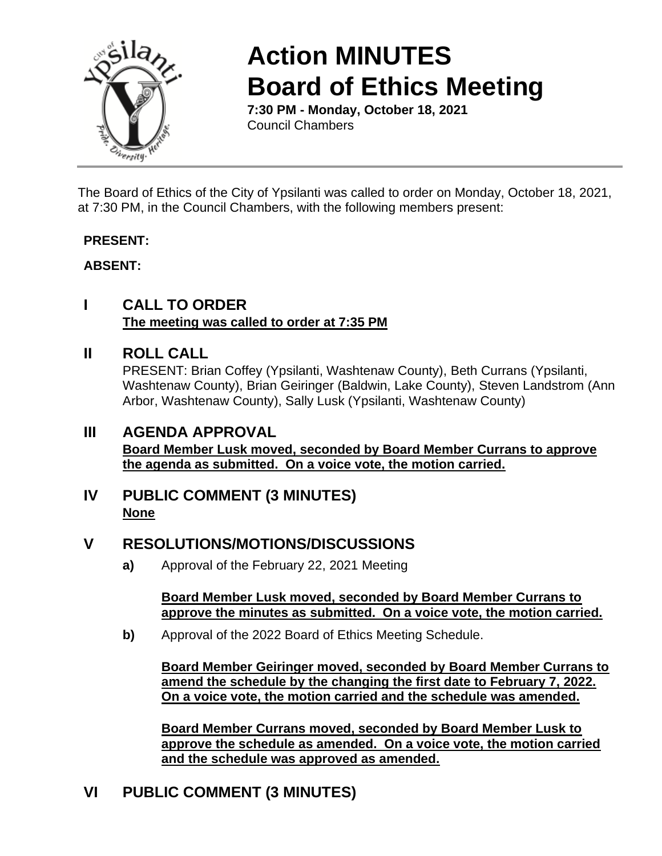

# **Action MINUTES Board of Ethics Meeting**

**7:30 PM - Monday, October 18, 2021** Council Chambers

The Board of Ethics of the City of Ypsilanti was called to order on Monday, October 18, 2021, at 7:30 PM, in the Council Chambers, with the following members present:

#### **PRESENT:**

#### **ABSENT:**

### **I CALL TO ORDER The meeting was called to order at 7:35 PM**

#### **II ROLL CALL**

PRESENT: Brian Coffey (Ypsilanti, Washtenaw County), Beth Currans (Ypsilanti, Washtenaw County), Brian Geiringer (Baldwin, Lake County), Steven Landstrom (Ann Arbor, Washtenaw County), Sally Lusk (Ypsilanti, Washtenaw County)

## **III AGENDA APPROVAL**

**Board Member Lusk moved, seconded by Board Member Currans to approve the agenda as submitted. On a voice vote, the motion carried.**

#### **IV PUBLIC COMMENT (3 MINUTES) None**

## **V RESOLUTIONS/MOTIONS/DISCUSSIONS**

**a)** Approval of the February 22, 2021 Meeting

**Board Member Lusk moved, seconded by Board Member Currans to approve the minutes as submitted. On a voice vote, the motion carried.**

**b)** Approval of the 2022 Board of Ethics Meeting Schedule.

**Board Member Geiringer moved, seconded by Board Member Currans to amend the schedule by the changing the first date to February 7, 2022. On a voice vote, the motion carried and the schedule was amended.**

**Board Member Currans moved, seconded by Board Member Lusk to approve the schedule as amended. On a voice vote, the motion carried and the schedule was approved as amended.**

## **VI PUBLIC COMMENT (3 MINUTES)**